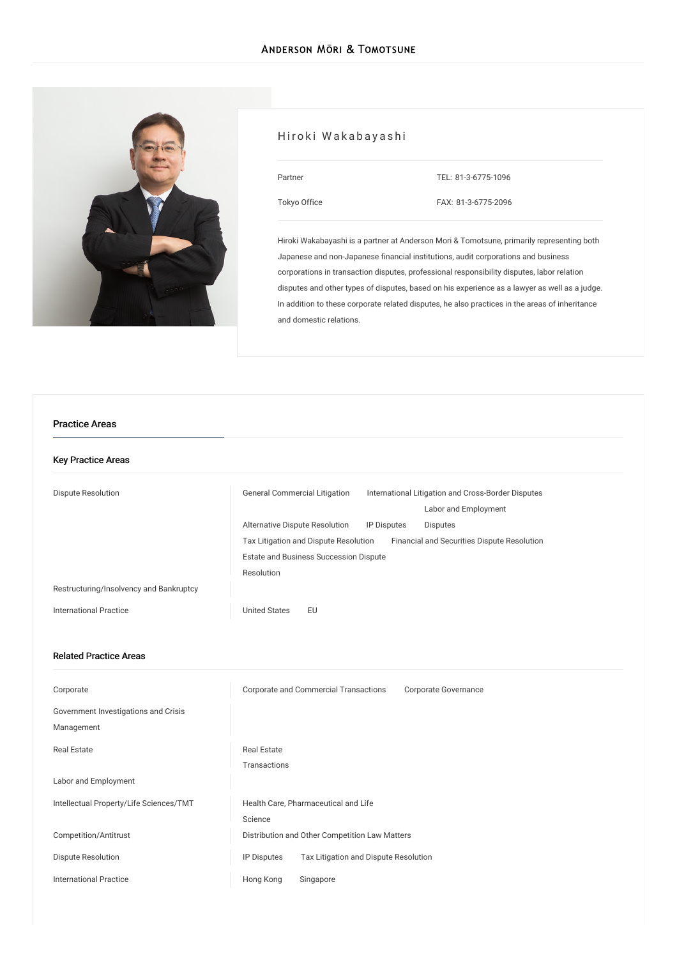

# Hiroki Wakabayashi

| Partner      | TEL: 81-3-6775-1096 |
|--------------|---------------------|
| Tokyo Office | FAX: 81-3-6775-2096 |

Hiroki Wakabayashi is a partner at Anderson Mori & Tomotsune, primarily representing both Japanese and non-Japanese financial institutions, audit corporations and business corporations in transaction disputes, professional responsibility disputes, labor relation disputes and other types of disputes, based on his experience as a lawyer as well as a judge. In addition to these corporate related disputes, he also practices in the areas of inheritance and domestic relations.

#### Practice Areas

| <b>Key Practice Areas</b>               |                                                                                                                    |
|-----------------------------------------|--------------------------------------------------------------------------------------------------------------------|
| <b>Dispute Resolution</b>               | <b>General Commercial Litigation</b><br>International Litigation and Cross-Border Disputes<br>Labor and Employment |
|                                         | Alternative Dispute Resolution<br><b>IP Disputes</b><br><b>Disputes</b>                                            |
|                                         | Tax Litigation and Dispute Resolution<br>Financial and Securities Dispute Resolution                               |
|                                         | <b>Estate and Business Succession Dispute</b>                                                                      |
|                                         | Resolution                                                                                                         |
| Restructuring/Insolvency and Bankruptcy |                                                                                                                    |
| International Practice                  | <b>United States</b><br>EU                                                                                         |
|                                         |                                                                                                                    |

### Related Practice Areas

| Corporate                                          | Corporate and Commercial Transactions<br>Corporate Governance |
|----------------------------------------------------|---------------------------------------------------------------|
| Government Investigations and Crisis<br>Management |                                                               |
| Real Estate                                        | <b>Real Estate</b>                                            |
|                                                    | Transactions                                                  |
| Labor and Employment                               |                                                               |
| Intellectual Property/Life Sciences/TMT            | Health Care, Pharmaceutical and Life                          |
|                                                    | Science                                                       |
| Competition/Antitrust                              | Distribution and Other Competition Law Matters                |
| Dispute Resolution                                 | Tax Litigation and Dispute Resolution<br><b>IP Disputes</b>   |
| <b>International Practice</b>                      | Hong Kong<br>Singapore                                        |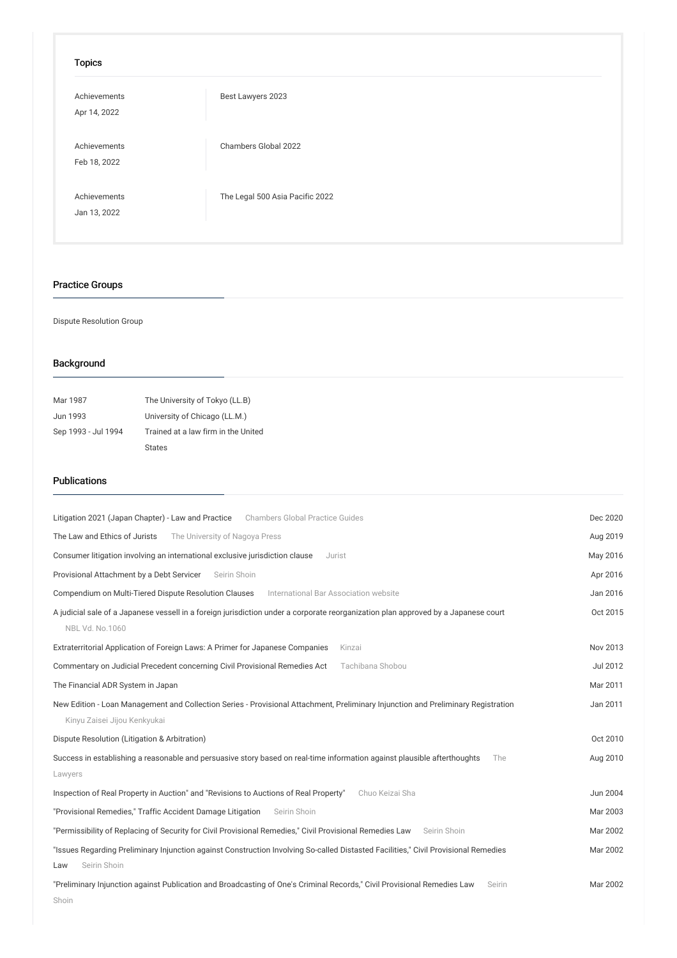## Topics

| Achievements<br>Apr 14, 2022 | Best Lawyers 2023               |
|------------------------------|---------------------------------|
| Achievements<br>Feb 18, 2022 | Chambers Global 2022            |
| Achievements<br>Jan 13, 2022 | The Legal 500 Asia Pacific 2022 |

# Practice Groups

### Dispute Resolution Group

# Background

| Mar 1987            | The University of Tokyo (LL.B)      |
|---------------------|-------------------------------------|
| Jun 1993            | University of Chicago (LL.M.)       |
| Sep 1993 - Jul 1994 | Trained at a law firm in the United |
|                     | <b>States</b>                       |

## Publications

| Litigation 2021 (Japan Chapter) - Law and Practice Chambers Global Practice Guides                                                                                | Dec 2020        |
|-------------------------------------------------------------------------------------------------------------------------------------------------------------------|-----------------|
| The Law and Ethics of Jurists<br>The University of Nagoya Press                                                                                                   | Aug 2019        |
| Consumer litigation involving an international exclusive jurisdiction clause<br>Jurist                                                                            | May 2016        |
| Provisional Attachment by a Debt Servicer<br>Seirin Shoin                                                                                                         | Apr 2016        |
| Compendium on Multi-Tiered Dispute Resolution Clauses<br>International Bar Association website                                                                    | Jan 2016        |
| A judicial sale of a Japanese vessell in a foreign jurisdiction under a corporate reorganization plan approved by a Japanese court<br>NBL Vd. No.1060             | Oct 2015        |
| Extraterritorial Application of Foreign Laws: A Primer for Japanese Companies<br>Kinzai                                                                           | Nov 2013        |
| Commentary on Judicial Precedent concerning Civil Provisional Remedies Act<br>Tachibana Shobou                                                                    | <b>Jul 2012</b> |
| The Financial ADR System in Japan                                                                                                                                 | Mar 2011        |
| New Edition - Loan Management and Collection Series - Provisional Attachment, Preliminary Injunction and Preliminary Registration<br>Kinyu Zaisei Jijou Kenkyukai | Jan 2011        |
| Dispute Resolution (Litigation & Arbitration)                                                                                                                     | Oct 2010        |
| Success in establishing a reasonable and persuasive story based on real-time information against plausible afterthoughts<br>The                                   | Aug 2010        |
| Lawyers                                                                                                                                                           |                 |
| Inspection of Real Property in Auction" and "Revisions to Auctions of Real Property"<br>Chuo Keizai Sha                                                           | Jun 2004        |
| "Provisional Remedies," Traffic Accident Damage Litigation<br>Seirin Shoin                                                                                        | Mar 2003        |
| "Permissibility of Replacing of Security for Civil Provisional Remedies," Civil Provisional Remedies Law<br>Seirin Shoin                                          | Mar 2002        |
| "Issues Regarding Preliminary Injunction against Construction Involving So-called Distasted Facilities," Civil Provisional Remedies<br>Seirin Shoin<br>Law        | Mar 2002        |
| "Preliminary Injunction against Publication and Broadcasting of One's Criminal Records," Civil Provisional Remedies Law<br>Seirin<br>Shoin                        | Mar 2002        |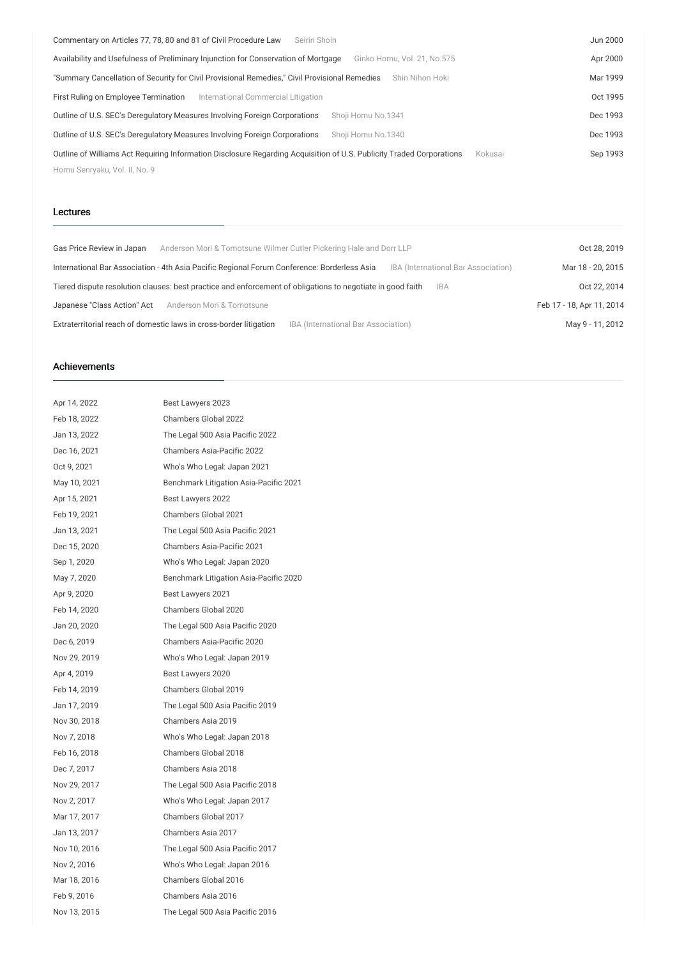| Commentary on Articles 77, 78, 80 and 81 of Civil Procedure Law<br>Seirin Shoin                                                             | Jun 2000 |
|---------------------------------------------------------------------------------------------------------------------------------------------|----------|
| Availability and Usefulness of Preliminary Injunction for Conservation of Mortgage<br>Ginko Homu, Vol. 21, No.575                           | Apr 2000 |
| "Summary Cancellation of Security for Civil Provisional Remedies," Civil Provisional Remedies<br>Shin Nihon Hoki                            | Mar 1999 |
| First Ruling on Employee Termination<br>International Commercial Litigation                                                                 | Oct 1995 |
| Outline of U.S. SEC's Deregulatory Measures Involving Foreign Corporations<br>Shoji Homu No.1341                                            | Dec 1993 |
| Outline of U.S. SEC's Deregulatory Measures Involving Foreign Corporations<br>Shoii Homu No.1340                                            | Dec 1993 |
| Outline of Williams Act Requiring Information Disclosure Regarding Acquisition of U.S. Publicity Traded Corporations<br>Kokusai<br>Sep 1993 |          |
| Homu Senryaku, Vol. II, No. 9                                                                                                               |          |

### Lectures

| Gas Price Review in Japan   | Anderson Mori & Tomotsune Wilmer Cutler Pickering Hale and Dorr LLP                                        |                                     |                                     | Oct 28, 2019              |
|-----------------------------|------------------------------------------------------------------------------------------------------------|-------------------------------------|-------------------------------------|---------------------------|
|                             | International Bar Association - 4th Asia Pacific Regional Forum Conference: Borderless Asia                |                                     | IBA (International Bar Association) | Mar 18 - 20, 2015         |
|                             | Tiered dispute resolution clauses: best practice and enforcement of obligations to negotiate in good faith |                                     | <b>IBA</b>                          | Oct 22, 2014              |
| Japanese "Class Action" Act | Anderson Mori & Tomotsune                                                                                  |                                     |                                     | Feb 17 - 18, Apr 11, 2014 |
|                             | Extraterritorial reach of domestic laws in cross-border litigation                                         | IBA (International Bar Association) |                                     | May 9 - 11, 2012          |

### Achievements

| Apr 14, 2022 | Best Lawyers 2023                      |
|--------------|----------------------------------------|
| Feb 18, 2022 | Chambers Global 2022                   |
| Jan 13, 2022 | The Legal 500 Asia Pacific 2022        |
| Dec 16, 2021 | Chambers Asia-Pacific 2022             |
| Oct 9, 2021  | Who's Who Legal: Japan 2021            |
| May 10, 2021 | Benchmark Litigation Asia-Pacific 2021 |
| Apr 15, 2021 | Best Lawyers 2022                      |
| Feb 19, 2021 | Chambers Global 2021                   |
| Jan 13, 2021 | The Legal 500 Asia Pacific 2021        |
| Dec 15, 2020 | Chambers Asia-Pacific 2021             |
| Sep 1, 2020  | Who's Who Legal: Japan 2020            |
| May 7, 2020  | Benchmark Litigation Asia-Pacific 2020 |
| Apr 9, 2020  | Best Lawyers 2021                      |
| Feb 14, 2020 | Chambers Global 2020                   |
| Jan 20, 2020 | The Legal 500 Asia Pacific 2020        |
| Dec 6, 2019  | Chambers Asia-Pacific 2020             |
| Nov 29, 2019 | Who's Who Legal: Japan 2019            |
| Apr 4, 2019  | Best Lawyers 2020                      |
| Feb 14, 2019 | Chambers Global 2019                   |
| Jan 17, 2019 | The Legal 500 Asia Pacific 2019        |
| Nov 30, 2018 | Chambers Asia 2019                     |
| Nov 7, 2018  | Who's Who Legal: Japan 2018            |
| Feb 16, 2018 | Chambers Global 2018                   |
| Dec 7, 2017  | Chambers Asia 2018                     |
| Nov 29, 2017 | The Legal 500 Asia Pacific 2018        |
| Nov 2, 2017  | Who's Who Legal: Japan 2017            |
| Mar 17, 2017 | Chambers Global 2017                   |
| Jan 13, 2017 | Chambers Asia 2017                     |
| Nov 10, 2016 | The Legal 500 Asia Pacific 2017        |
| Nov 2, 2016  | Who's Who Legal: Japan 2016            |
| Mar 18, 2016 | Chambers Global 2016                   |
| Feb 9, 2016  | Chambers Asia 2016                     |
| Nov 13, 2015 | The Legal 500 Asia Pacific 2016        |
|              |                                        |